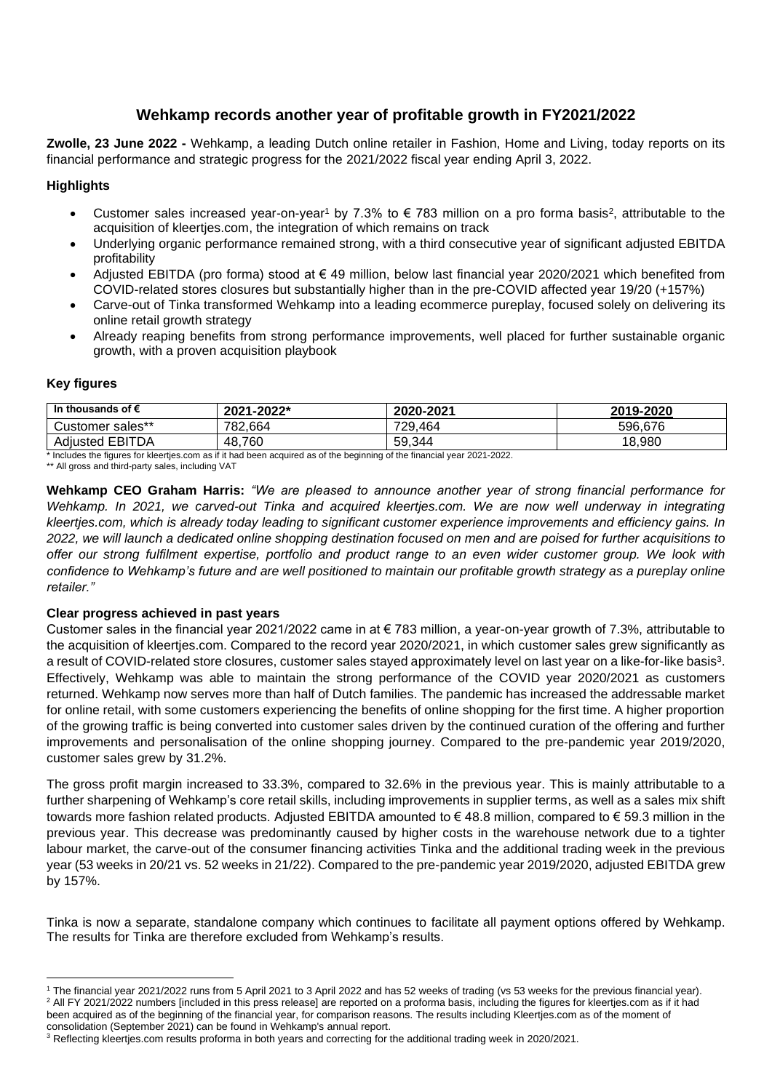# **Wehkamp records another year of profitable growth in FY2021/2022**

**Zwolle, 23 June 2022 -** Wehkamp, a leading Dutch online retailer in Fashion, Home and Living, today reports on its financial performance and strategic progress for the 2021/2022 fiscal year ending April 3, 2022.

## **Highlights**

- Customer sales increased year-on-year<sup>1</sup> by 7.3% to  $\epsilon$  783 million on a pro forma basis<sup>2</sup>, attributable to the acquisition of kleertjes.com, the integration of which remains on track
- Underlying organic performance remained strong, with a third consecutive year of significant adjusted EBITDA profitability
- Adjusted EBITDA (pro forma) stood at € 49 million, below last financial year 2020/2021 which benefited from COVID-related stores closures but substantially higher than in the pre-COVID affected year 19/20 (+157%)
- Carve-out of Tinka transformed Wehkamp into a leading ecommerce pureplay, focused solely on delivering its online retail growth strategy
- Already reaping benefits from strong performance improvements, well placed for further sustainable organic growth, with a proven acquisition playbook

### **Key figures**

| In thousands of $\epsilon$ | 2021-2022* | 2020-2021 | 2019-2020 |
|----------------------------|------------|-----------|-----------|
| Customer sales**           | 782.664    | 729,464   | 596,676   |
| <b>Adjusted EBITDA</b>     | 48.760     | 59.344    | 18,980    |

Includes the figures for kleertjes.com as if it had been acquired as of the beginning of the financial year 2021-2022.

\*\* All gross and third-party sales, including VAT

**Wehkamp CEO Graham Harris:** *"We are pleased to announce another year of strong financial performance for Wehkamp. In 2021, we carved-out Tinka and acquired kleertjes.com. We are now well underway in integrating kleertjes.com, which is already today leading to significant customer experience improvements and efficiency gains. In 2022, we will launch a dedicated online shopping destination focused on men and are poised for further acquisitions to offer our strong fulfilment expertise, portfolio and product range to an even wider customer group. We look with confidence to Wehkamp's future and are well positioned to maintain our profitable growth strategy as a pureplay online retailer."*

## **Clear progress achieved in past years**

Customer sales in the financial year 2021/2022 came in at € 783 million, a year-on-year growth of 7.3%, attributable to the acquisition of kleertjes.com. Compared to the record year 2020/2021, in which customer sales grew significantly as a result of COVID-related store closures, customer sales stayed approximately level on last year on a like-for-like basis<sup>3</sup>. Effectively, Wehkamp was able to maintain the strong performance of the COVID year 2020/2021 as customers returned. Wehkamp now serves more than half of Dutch families. The pandemic has increased the addressable market for online retail, with some customers experiencing the benefits of online shopping for the first time. A higher proportion of the growing traffic is being converted into customer sales driven by the continued curation of the offering and further improvements and personalisation of the online shopping journey. Compared to the pre-pandemic year 2019/2020, customer sales grew by 31.2%.

The gross profit margin increased to 33.3%, compared to 32.6% in the previous year. This is mainly attributable to a further sharpening of Wehkamp's core retail skills, including improvements in supplier terms, as well as a sales mix shift towards more fashion related products. Adjusted EBITDA amounted to € 48.8 million, compared to € 59.3 million in the previous year. This decrease was predominantly caused by higher costs in the warehouse network due to a tighter labour market, the carve-out of the consumer financing activities Tinka and the additional trading week in the previous year (53 weeks in 20/21 vs. 52 weeks in 21/22). Compared to the pre-pandemic year 2019/2020, adjusted EBITDA grew by 157%.

Tinka is now a separate, standalone company which continues to facilitate all payment options offered by Wehkamp. The results for Tinka are therefore excluded from Wehkamp's results.

<sup>1</sup> The financial year 2021/2022 runs from 5 April 2021 to 3 April 2022 and has 52 weeks of trading (vs 53 weeks for the previous financial year). <sup>2</sup> All FY 2021/2022 numbers [included in this press release] are reported on a proforma basis, including the figures for kleertjes.com as if it had been acquired as of the beginning of the financial year, for comparison reasons. The results including Kleertjes.com as of the moment of consolidation (September 2021) can be found in Wehkamp's annual report.

 $3$  Reflecting kleertjes.com results proforma in both years and correcting for the additional trading week in 2020/2021.